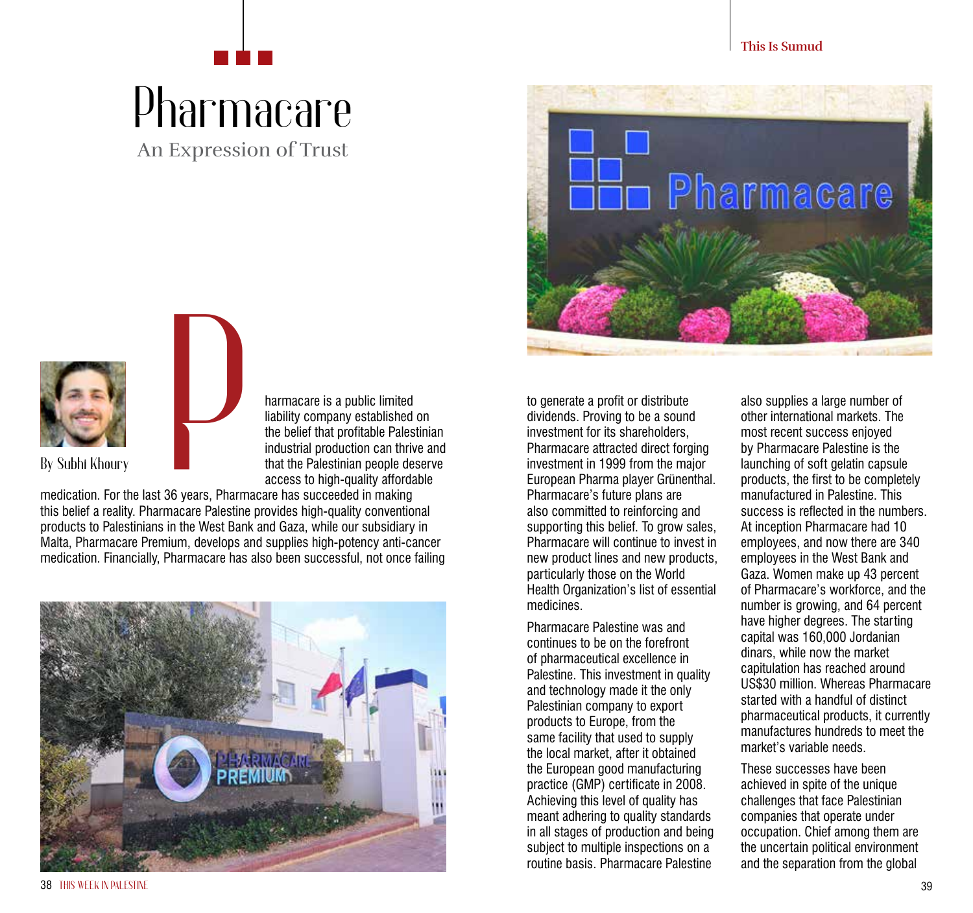## An Expression of Trust Pharmacare







harmacare is a public limited liability company established on the belief that profitable Palestinian industrial production can thrive and that the Palestinian people deserve access to high-quality affordable

medication. For the last 36 years, Pharmacare has succeeded in making this belief a reality. Pharmacare Palestine provides high-quality conventional products to Palestinians in the West Bank and Gaza, while our subsidiary in Malta, Pharmacare Premium, develops and supplies high-potency anti-cancer medication. Financially, Pharmacare has also been successful, not once failing



to generate a profit or distribute dividends. Proving to be a sound investment for its shareholders, Pharmacare attracted direct forging investment in 1999 from the major European Pharma player Grünenthal. Pharmacare's future plans are also committed to reinforcing and supporting this belief. To grow sales, Pharmacare will continue to invest in new product lines and new products, particularly those on the World Health Organization's list of essential medicines.

Pharmacare Palestine was and continues to be on the forefront of pharmaceutical excellence in Palestine. This investment in quality and technology made it the only Palestinian company to export products to Europe, from the same facility that used to supply the local market, after it obtained the European good manufacturing practice (GMP) certificate in 2008. Achieving this level of quality has meant adhering to quality standards in all stages of production and being subject to multiple inspections on a routine basis. Pharmacare Palestine

also supplies a large number of other international markets. The most recent success enjoyed by Pharmacare Palestine is the launching of soft gelatin capsule products, the first to be completely manufactured in Palestine. This success is reflected in the numbers. At inception Pharmacare had 10 employees, and now there are 340 employees in the West Bank and Gaza. Women make up 43 percent of Pharmacare's workforce, and the number is growing, and 64 percent have higher degrees. The starting capital was 160,000 Jordanian dinars, while now the market capitulation has reached around US\$30 million. Whereas Pharmacare started with a handful of distinct pharmaceutical products, it currently manufactures hundreds to meet the market's variable needs.

These successes have been achieved in spite of the unique challenges that face Palestinian companies that operate under occupation. Chief among them are the uncertain political environment and the separation from the global

38 **THIS WEEK IN PALESTINE** 39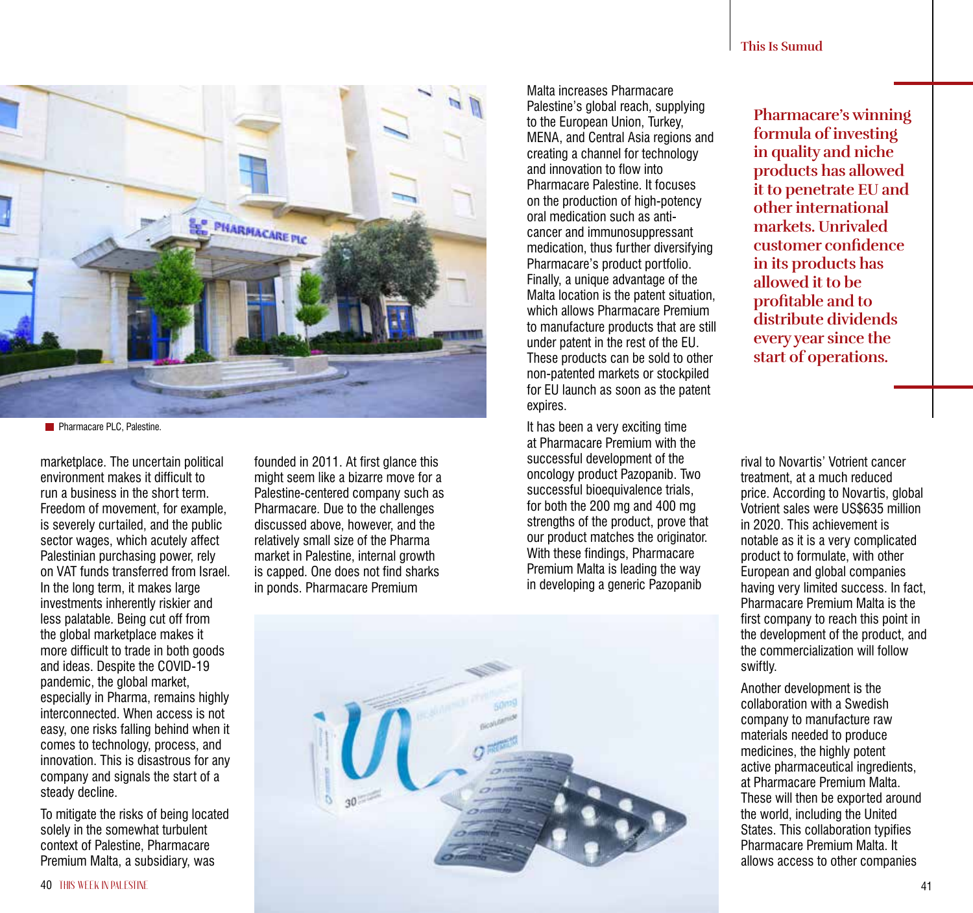steady decline.

**This Is Sumud**

Malta increases Pharmacare Palestine's global reach, supplying to the European Union, Turkey, MENA, and Central Asia regions and creating a channel for technology and innovation to flow into Pharmacare Palestine. It focuses on the production of high-potency oral medication such as anticancer and immunosuppressant medication, thus further diversifying Pharmacare's product portfolio. Finally, a unique advantage of the Malta location is the patent situation, which allows Pharmacare Premium to manufacture products that are still under patent in the rest of the EU. These products can be sold to other non-patented markets or stockpiled for EU launch as soon as the patent

It has been a very exciting time at Pharmacare Premium with the successful development of the oncology product Pazopanib. Two successful bioequivalence trials, for both the 200 mg and 400 mg strengths of the product, prove that our product matches the originator. With these findings, Pharmacare Premium Malta is leading the way in developing a generic Pazopanib

**Pharmacare's winning formula of investing in quality and niche products has allowed it to penetrate EU and other international markets. Unrivaled customer confidence in its products has allowed it to be profitable and to distribute dividends every year since the start of operations.**

rival to Novartis' Votrient cancer treatment, at a much reduced price. According to Novartis, global Votrient sales were US\$635 million in 2020. This achievement is notable as it is a very complicated product to formulate, with other European and global companies having very limited success. In fact, Pharmacare Premium Malta is the first company to reach this point in the development of the product, and the commercialization will follow swiftly.

Another development is the collaboration with a Swedish company to manufacture raw materials needed to produce medicines, the highly potent active pharmaceutical ingredients, at Pharmacare Premium Malta. These will then be exported around the world, including the United States. This collaboration typifies Pharmacare Premium Malta. It allows access to other companies

founded in 2011. At first glance this might seem like a bizarre move for a Palestine-centered company such as Pharmacare. Due to the challenges discussed above, however, and the relatively small size of the Pharma market in Palestine, internal growth is capped. One does not find sharks in ponds. Pharmacare Premium

**PHARMACARE PLC** 



To mitigate the risks of being located solely in the somewhat turbulent context of Palestine, Pharmacare

marketplace. The uncertain political environment makes it difficult to run a business in the short term. Freedom of movement, for example, is severely curtailed, and the public sector wages, which acutely affect Palestinian purchasing power, rely on VAT funds transferred from Israel. In the long term, it makes large investments inherently riskier and less palatable. Being cut off from the global marketplace makes it more difficult to trade in both goods and ideas. Despite the COVID-19 pandemic, the global market, especially in Pharma, remains highly interconnected. When access is not easy, one risks falling behind when it comes to technology, process, and innovation. This is disastrous for any company and signals the start of a

**Pharmacare PLC, Palestine.**